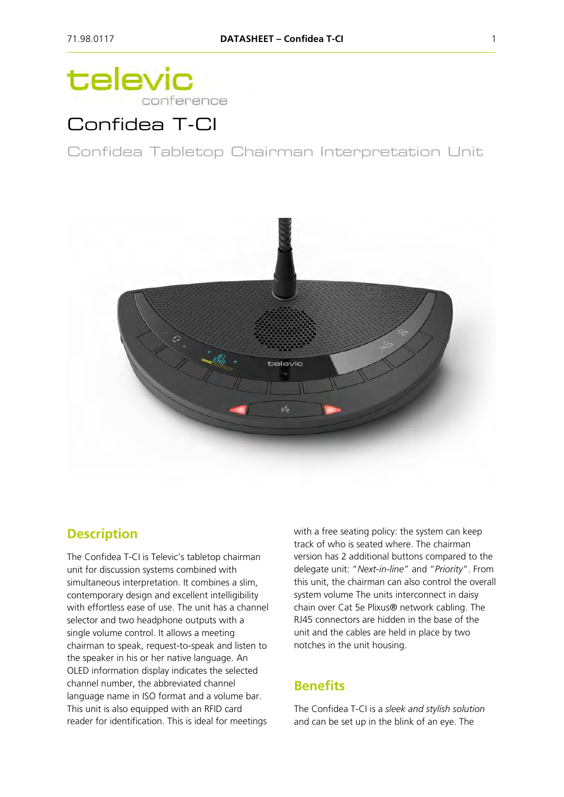# televic conference

# Confidea T-CI

Confidea Tabletop Chairman Interpretation Unit



### **Description**

The Confidea T-CI is Televic's tabletop chairman unit for discussion systems combined with simultaneous interpretation. It combines a slim, contemporary design and excellent intelligibility with effortless ease of use. The unit has a channel selector and two headphone outputs with a single volume control. It allows a meeting chairman to speak, request-to-speak and listen to the speaker in his or her native language. An OLED information display indicates the selected channel number, the abbreviated channel language name in ISO format and a volume bar. This unit is also equipped with an RFID card reader for identification. This is ideal for meetings

with a free seating policy: the system can keep track of who is seated where. The chairman version has 2 additional buttons compared to the delegate unit: "*Next-in-line*" and "*Priority*". From this unit, the chairman can also control the overall system volume The units interconnect in daisy chain over Cat 5e Plixus® network cabling. The RJ45 connectors are hidden in the base of the unit and the cables are held in place by two notches in the unit housing.

## **Benefits**

The Confidea T-CI is a *sleek and stylish solution* and can be set up in the blink of an eye. The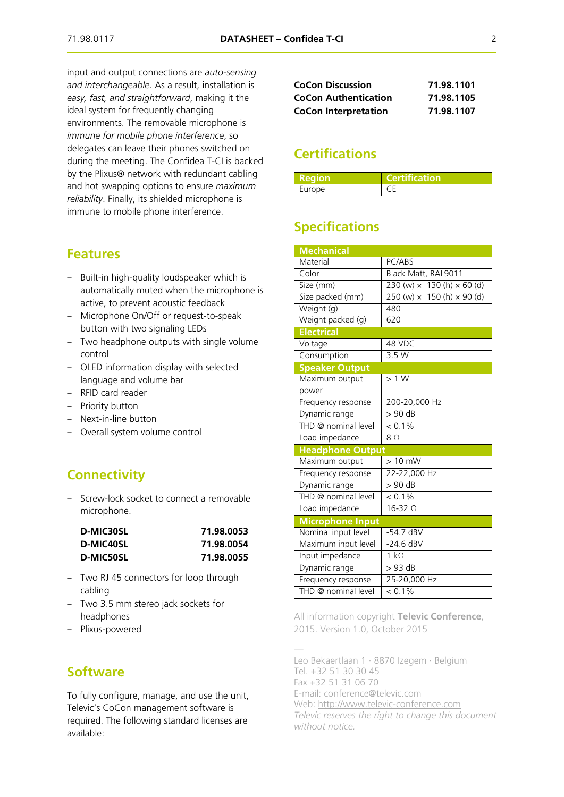input and output connections are *auto-sensing and interchangeable*. As a result, installation is *easy, fast, and straightforward*, making it the ideal system for frequently changing environments. The removable microphone is *immune for mobile phone interference*, so delegates can leave their phones switched on during the meeting. The Confidea T-CI is backed by the Plixus® network with redundant cabling and hot swapping options to ensure *maximum reliability*. Finally, its shielded microphone is immune to mobile phone interference.

#### **Features**

- Built-in high-quality loudspeaker which is automatically muted when the microphone is active, to prevent acoustic feedback
- ‒ Microphone On/Off or request-to-speak button with two signaling LEDs
- Two headphone outputs with single volume control
- OLED information display with selected language and volume bar
- RFID card reader
- Priority button
- Next-in-line button
- Overall system volume control

### **Connectivity**

‒ Screw-lock socket to connect a removable microphone.

| <b>D-MIC30SL</b> | 71.98.0053 |  |
|------------------|------------|--|
| D-MIC40SL        | 71.98.0054 |  |
| <b>D-MIC50SL</b> | 71.98.0055 |  |

- ‒ Two RJ 45 connectors for loop through cabling
- ‒ Two 3.5 mm stereo jack sockets for headphones
- ‒ Plixus-powered

### **Software**

To fully configure, manage, and use the unit, Televic's CoCon management software is required. The following standard licenses are available:

| <b>CoCon Discussion</b>     | 71.98.1101 |
|-----------------------------|------------|
| <b>CoCon Authentication</b> | 71.98.1105 |
| <b>CoCon Interpretation</b> | 71.98.1107 |

### **Certifications**

| l Region | <b>Certification</b> |
|----------|----------------------|
| Europe   |                      |

### **Specifications**

| <b>Mechanical</b>       |                                          |
|-------------------------|------------------------------------------|
| Material                | PC/ABS                                   |
| Color                   | Black Matt, RAL9011                      |
| Size (mm)               | 230 (w) $\times$ 130 (h) $\times$ 60 (d) |
| Size packed (mm)        | 250 (w) $\times$ 150 (h) $\times$ 90 (d) |
| Weight (g)              | 480                                      |
| Weight packed (g)       | 620                                      |
| <b>Electrical</b>       |                                          |
| Voltage                 | 48 VDC                                   |
| Consumption             | 3.5 W                                    |
| <b>Speaker Output</b>   |                                          |
| Maximum output          | >1 W                                     |
| power                   |                                          |
| Frequency response      | 200-20,000 Hz                            |
| Dynamic range           | $> 90$ dB                                |
| THD @ nominal level     | $< 0.1\%$                                |
| Load impedance          | 8 <sub>0</sub>                           |
| <b>Headphone Output</b> |                                          |
| Maximum output          | $> 10$ mW                                |
| Frequency response      | 22-22,000 Hz                             |
| Dynamic range           | $> 90$ dB                                |
| THD @ nominal level     | $< 0.1\%$                                |
| Load impedance          | $16-32$ $\Omega$                         |
| <b>Microphone Input</b> |                                          |
| Nominal input level     | $-54.7$ dBV                              |
| Maximum input level     | $-24.6$ dBV                              |
| Input impedance         | $\overline{1}$ kΩ                        |
| Dynamic range           | $>93$ dB                                 |
| Frequency response      | 25-20,000 Hz                             |
| THD @ nominal level     | $< 0.1\%$                                |

All information copyright **Televic Conference**, 2015. Version 1.0, October 2015

— Leo Bekaertlaan 1 · 8870 Izegem · Belgium Tel. +32 51 30 30 45 Fax +32 51 31 06 70 E-mail: conference@televic.com Web: [http://www.televic-conference.com](http://www.televic-conference.com/) *Televic reserves the right to change this document without notice.*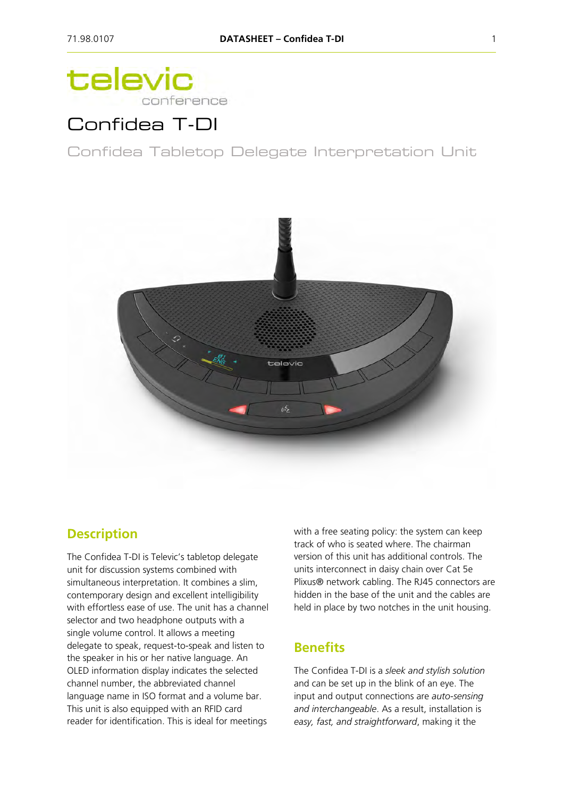# televic conference

# Confidea T-DI

Confidea Tabletop Delegate Interpretation Unit



### **Description**

The Confidea T-DI is Televic's tabletop delegate unit for discussion systems combined with simultaneous interpretation. It combines a slim, contemporary design and excellent intelligibility with effortless ease of use. The unit has a channel selector and two headphone outputs with a single volume control. It allows a meeting delegate to speak, request-to-speak and listen to the speaker in his or her native language. An OLED information display indicates the selected channel number, the abbreviated channel language name in ISO format and a volume bar. This unit is also equipped with an RFID card reader for identification. This is ideal for meetings

with a free seating policy: the system can keep track of who is seated where. The chairman version of this unit has additional controls. The units interconnect in daisy chain over Cat 5e Plixus® network cabling. The RJ45 connectors are hidden in the base of the unit and the cables are held in place by two notches in the unit housing.

### **Benefits**

The Confidea T-DI is a *sleek and stylish solution* and can be set up in the blink of an eye. The input and output connections are *auto-sensing and interchangeable*. As a result, installation is *easy, fast, and straightforward*, making it the